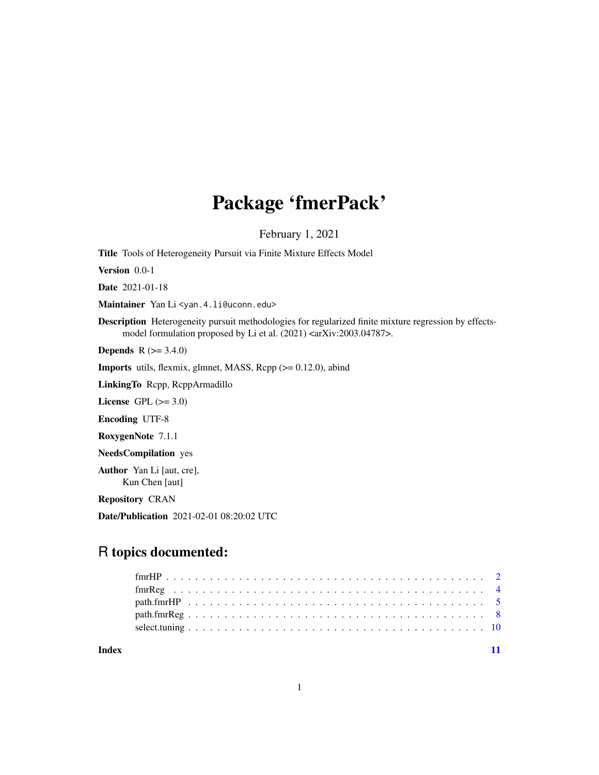## Package 'fmerPack'

February 1, 2021

Title Tools of Heterogeneity Pursuit via Finite Mixture Effects Model

Version 0.0-1

Date 2021-01-18

Maintainer Yan Li <yan.4.li@uconn.edu>

Description Heterogeneity pursuit methodologies for regularized finite mixture regression by effectsmodel formulation proposed by Li et al. (2021) <arXiv:2003.04787>.

**Depends** R  $(>= 3.4.0)$ 

**Imports** utils, flexmix, glmnet, MASS, Rcpp  $(>= 0.12.0)$ , abind

LinkingTo Rcpp, RcppArmadillo

License GPL  $(>= 3.0)$ 

Encoding UTF-8

RoxygenNote 7.1.1

NeedsCompilation yes

Author Yan Li [aut, cre], Kun Chen [aut]

Repository CRAN

Date/Publication 2021-02-01 08:20:02 UTC

## R topics documented:

| Index |  |  |  |  |  |  |  |  |  |  |  |  |  |  |  |  |  |  |  |
|-------|--|--|--|--|--|--|--|--|--|--|--|--|--|--|--|--|--|--|--|

1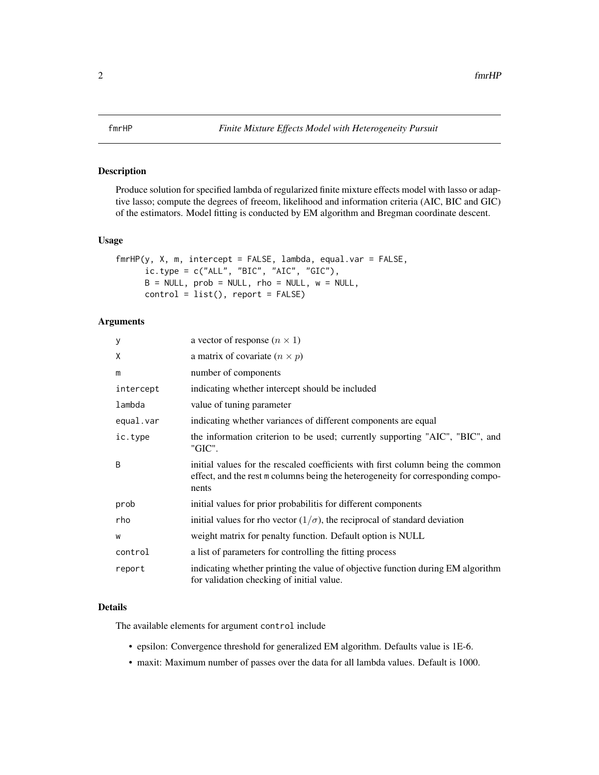<span id="page-1-0"></span>Produce solution for specified lambda of regularized finite mixture effects model with lasso or adaptive lasso; compute the degrees of freeom, likelihood and information criteria (AIC, BIC and GIC) of the estimators. Model fitting is conducted by EM algorithm and Bregman coordinate descent.

#### Usage

```
fmrHP(y, X, m, intercept = FALSE, lambda, equal.var = FALSE,
      ic.\t{type = c("ALL", "BIC", "AIC", "GIC"),}B = NULL, prob = NULL, rho = NULL, w = NULL,
      control = list(), report = FALSE)
```
#### Arguments

| У         | a vector of response $(n \times 1)$                                                                                                                                         |
|-----------|-----------------------------------------------------------------------------------------------------------------------------------------------------------------------------|
| X         | a matrix of covariate $(n \times p)$                                                                                                                                        |
| m         | number of components                                                                                                                                                        |
| intercept | indicating whether intercept should be included                                                                                                                             |
| lambda    | value of tuning parameter                                                                                                                                                   |
| equal.var | indicating whether variances of different components are equal                                                                                                              |
| ic.type   | the information criterion to be used; currently supporting "AIC", "BIC", and<br>"GIC".                                                                                      |
| B         | initial values for the rescaled coefficients with first column being the common<br>effect, and the rest m columns being the heterogeneity for corresponding compo-<br>nents |
| prob      | initial values for prior probabilitis for different components                                                                                                              |
| rho       | initial values for rho vector $(1/\sigma)$ , the reciprocal of standard deviation                                                                                           |
| W         | weight matrix for penalty function. Default option is NULL                                                                                                                  |
| control   | a list of parameters for controlling the fitting process                                                                                                                    |
| report    | indicating whether printing the value of objective function during EM algorithm<br>for validation checking of initial value.                                                |

#### Details

The available elements for argument control include

- epsilon: Convergence threshold for generalized EM algorithm. Defaults value is 1E-6.
- maxit: Maximum number of passes over the data for all lambda values. Default is 1000.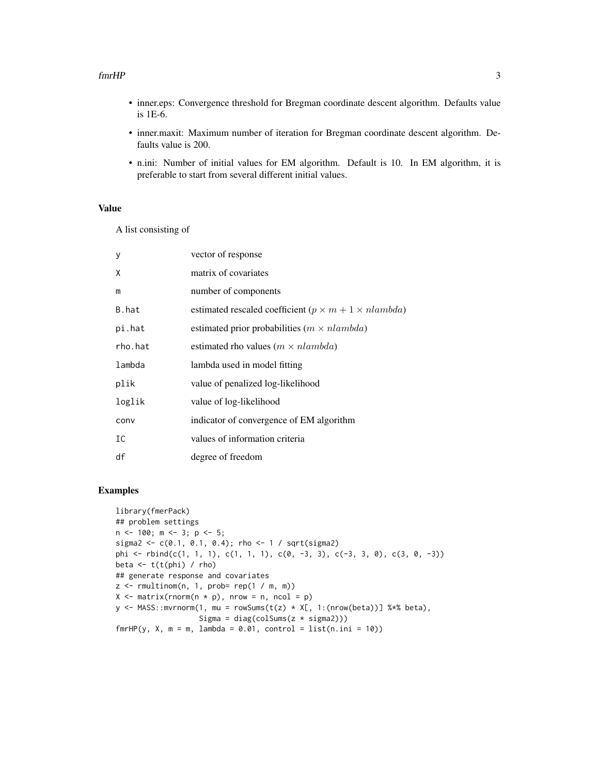#### fmrHP 3

- inner.eps: Convergence threshold for Bregman coordinate descent algorithm. Defaults value is 1E-6.
- inner.maxit: Maximum number of iteration for Bregman coordinate descent algorithm. Defaults value is 200.
- n.ini: Number of initial values for EM algorithm. Default is 10. In EM algorithm, it is preferable to start from several different initial values.

#### Value

A list consisting of

| vector of response                                                 |
|--------------------------------------------------------------------|
| matrix of covariates                                               |
| number of components                                               |
| estimated rescaled coefficient ( $p \times m + 1 \times n$ lambda) |
| estimated prior probabilities ( $m \times n$ lambda)               |
| estimated rho values ( $m \times n$ lambda)                        |
| lambda used in model fitting                                       |
| value of penalized log-likelihood                                  |
| value of log-likelihood                                            |
| indicator of convergence of EM algorithm                           |
| values of information criteria                                     |
| degree of freedom                                                  |
|                                                                    |

#### Examples

```
library(fmerPack)
## problem settings
n <- 100; m <- 3; p <- 5;
sigma2 <- c(0.1, 0.1, 0.4); rho <- 1 / sqrt(sigma2)
phi <- rbind(c(1, 1, 1), c(1, 1, 1), c(0, -3, 3), c(-3, 3, 0), c(3, 0, -3))
beta \leftarrow t(t(phi) / rho)
## generate response and covariates
z \leq r multinom(n, 1, prob= rep(1 / m, m))
X \le matrix(rnorm(n * p), nrow = n, ncol = p)
y \leq MASS: : mvrnorm(1, mu = rowSums(t(z) * X[, 1:(nrow(beta))] %*% beta),
                   Sigma = diag(colSums(z * sigma2)))
fmrHP(y, X, m = m, lambda = 0.01, control = list(n.ini = 10))
```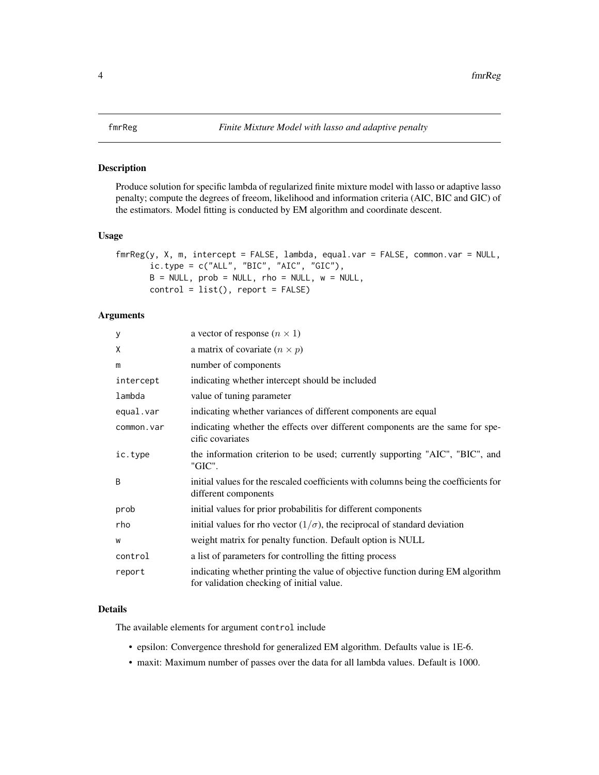<span id="page-3-0"></span>Produce solution for specific lambda of regularized finite mixture model with lasso or adaptive lasso penalty; compute the degrees of freeom, likelihood and information criteria (AIC, BIC and GIC) of the estimators. Model fitting is conducted by EM algorithm and coordinate descent.

#### Usage

```
fmrReg(y, X, m, intercept = FALSE, lambda, equal.var = FALSE, common.var = NULL,
       ic.type = c("ALL", "BIC", "AIC", "GIC"),
      B = NULL, prob = NULL, rho = NULL, w = NULL,
      control = list(), report = FALSE)
```
#### Arguments

| У          | a vector of response $(n \times 1)$                                                                                          |
|------------|------------------------------------------------------------------------------------------------------------------------------|
| X          | a matrix of covariate $(n \times p)$                                                                                         |
| m          | number of components                                                                                                         |
| intercept  | indicating whether intercept should be included                                                                              |
| lambda     | value of tuning parameter                                                                                                    |
| equal.var  | indicating whether variances of different components are equal                                                               |
| common.var | indicating whether the effects over different components are the same for spe-<br>cific covariates                           |
| ic.type    | the information criterion to be used; currently supporting "AIC", "BIC", and<br>"GIC".                                       |
| B          | initial values for the rescaled coefficients with columns being the coefficients for<br>different components                 |
| prob       | initial values for prior probabilitis for different components                                                               |
| rho        | initial values for rho vector $(1/\sigma)$ , the reciprocal of standard deviation                                            |
| W          | weight matrix for penalty function. Default option is NULL                                                                   |
| control    | a list of parameters for controlling the fitting process                                                                     |
| report     | indicating whether printing the value of objective function during EM algorithm<br>for validation checking of initial value. |

### Details

The available elements for argument control include

- epsilon: Convergence threshold for generalized EM algorithm. Defaults value is 1E-6.
- maxit: Maximum number of passes over the data for all lambda values. Default is 1000.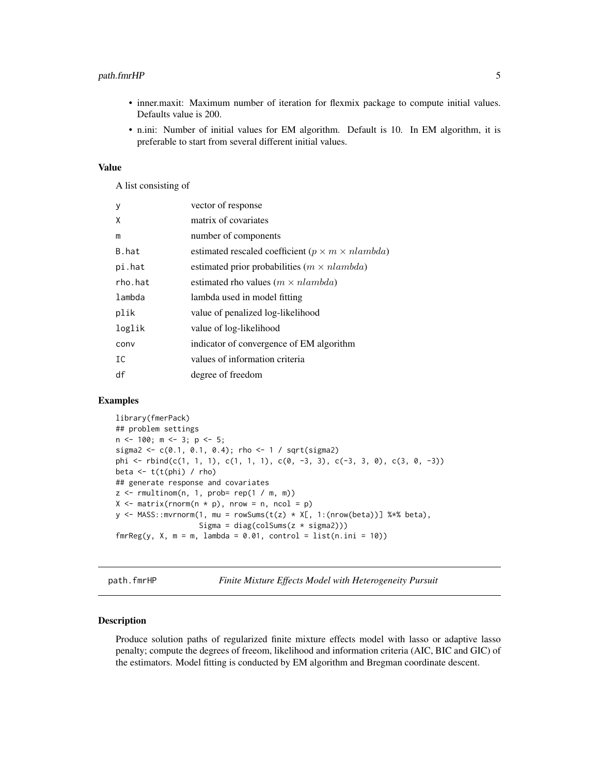#### <span id="page-4-0"></span>path.fmrHP 5

- inner.maxit: Maximum number of iteration for flexmix package to compute initial values. Defaults value is 200.
- n.ini: Number of initial values for EM algorithm. Default is 10. In EM algorithm, it is preferable to start from several different initial values.

#### Value

A list consisting of

| y       | vector of response                                             |
|---------|----------------------------------------------------------------|
| X       | matrix of covariates                                           |
| m       | number of components                                           |
| B.hat   | estimated rescaled coefficient ( $p \times m \times n$ lambda) |
| pi.hat  | estimated prior probabilities ( $m \times n$ lambda)           |
| rho.hat | estimated rho values ( $m \times n$ lambda)                    |
| lambda  | lambda used in model fitting                                   |
| plik    | value of penalized log-likelihood                              |
| loglik  | value of log-likelihood                                        |
| conv    | indicator of convergence of EM algorithm                       |
| IC      | values of information criteria                                 |
| df      | degree of freedom                                              |
|         |                                                                |

#### Examples

```
library(fmerPack)
## problem settings
n <- 100; m <- 3; p <- 5;
sigma2 <- c(0.1, 0.1, 0.4); rho <- 1 / sqrt(sigma2)
phi <- rbind(c(1, 1, 1), c(1, 1, 1), c(0, -3, 3), c(-3, 3, 0), c(3, 0, -3))
beta \leftarrow t(t(phi) / rho)
## generate response and covariates
z \le r rmultinom(n, 1, prob= rep(1 / m, m))
X \le - matrix(rnorm(n * p), nrow = n, ncol = p)
y \leq MASS: <math>mvrnorm(1, mu = rowSums(t(z) * X[, 1:(nrow(beta))] %*% beta),
                    Sigma = diag(colSums(z * sigma2)))
fmrReg(y, X, m = m, lambda = 0.01, control = list(n.ini = 10))
```
path.fmrHP *Finite Mixture Effects Model with Heterogeneity Pursuit*

#### Description

Produce solution paths of regularized finite mixture effects model with lasso or adaptive lasso penalty; compute the degrees of freeom, likelihood and information criteria (AIC, BIC and GIC) of the estimators. Model fitting is conducted by EM algorithm and Bregman coordinate descent.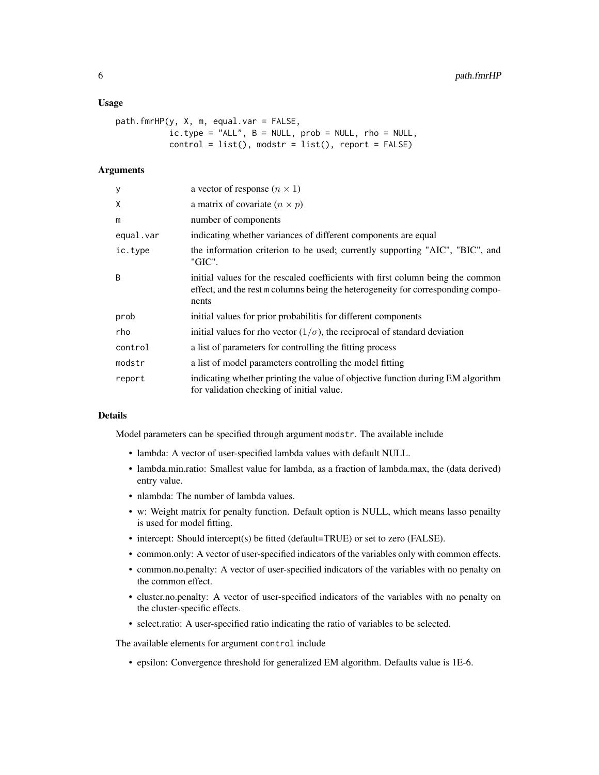#### Usage

```
path.fmrHP(y, X, m, equal.var = FALSE,
          ic_type = "ALL", B = NULL, prob = NULL, rho = NULL,control = list(), modstr = list(), report = FALSE)
```
#### **Arguments**

| У            | a vector of response $(n \times 1)$                                                                                                                                         |
|--------------|-----------------------------------------------------------------------------------------------------------------------------------------------------------------------------|
| X            | a matrix of covariate $(n \times p)$                                                                                                                                        |
| m            | number of components                                                                                                                                                        |
| equal.var    | indicating whether variances of different components are equal                                                                                                              |
| ic.type      | the information criterion to be used; currently supporting "AIC", "BIC", and<br>"GIC".                                                                                      |
| <sub>B</sub> | initial values for the rescaled coefficients with first column being the common<br>effect, and the rest m columns being the heterogeneity for corresponding compo-<br>nents |
| prob         | initial values for prior probabilitis for different components                                                                                                              |
| rho          | initial values for rho vector $(1/\sigma)$ , the reciprocal of standard deviation                                                                                           |
| control      | a list of parameters for controlling the fitting process                                                                                                                    |
| modstr       | a list of model parameters controlling the model fitting                                                                                                                    |
| report       | indicating whether printing the value of objective function during EM algorithm<br>for validation checking of initial value.                                                |

#### Details

Model parameters can be specified through argument modstr. The available include

- lambda: A vector of user-specified lambda values with default NULL.
- lambda.min.ratio: Smallest value for lambda, as a fraction of lambda.max, the (data derived) entry value.
- nlambda: The number of lambda values.
- w: Weight matrix for penalty function. Default option is NULL, which means lasso penailty is used for model fitting.
- intercept: Should intercept(s) be fitted (default=TRUE) or set to zero (FALSE).
- common.only: A vector of user-specified indicators of the variables only with common effects.
- common.no.penalty: A vector of user-specified indicators of the variables with no penalty on the common effect.
- cluster.no.penalty: A vector of user-specified indicators of the variables with no penalty on the cluster-specific effects.
- select.ratio: A user-specified ratio indicating the ratio of variables to be selected.

The available elements for argument control include

• epsilon: Convergence threshold for generalized EM algorithm. Defaults value is 1E-6.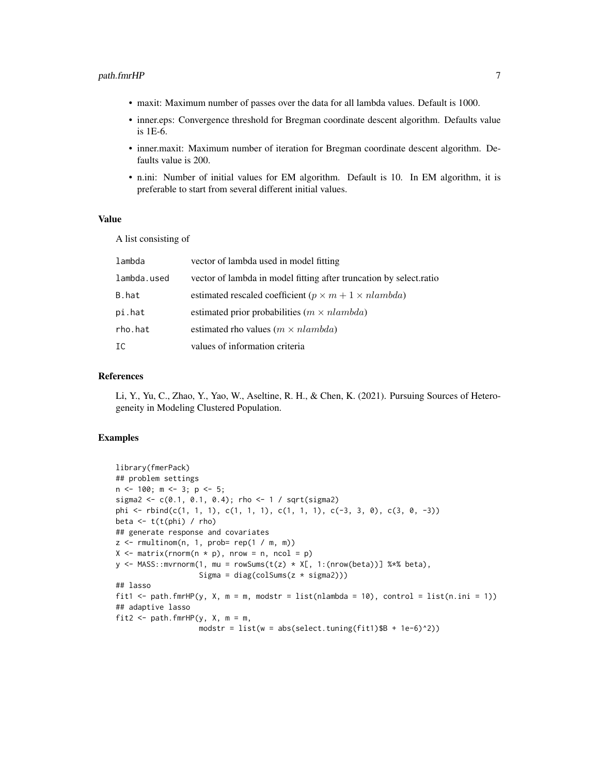- maxit: Maximum number of passes over the data for all lambda values. Default is 1000.
- inner.eps: Convergence threshold for Bregman coordinate descent algorithm. Defaults value is 1E-6.
- inner.maxit: Maximum number of iteration for Bregman coordinate descent algorithm. Defaults value is 200.
- n.ini: Number of initial values for EM algorithm. Default is 10. In EM algorithm, it is preferable to start from several different initial values.

#### Value

A list consisting of

| lambda      | vector of lambda used in model fitting                             |
|-------------|--------------------------------------------------------------------|
| lambda.used | vector of lambda in model fitting after truncation by select.ratio |
| B.hat       | estimated rescaled coefficient ( $p \times m + 1 \times n$ lambda) |
| pi.hat      | estimated prior probabilities ( $m \times n$ lambda)               |
| rho.hat     | estimated rho values ( $m \times n$ lambda)                        |
| IC          | values of information criteria                                     |

#### References

Li, Y., Yu, C., Zhao, Y., Yao, W., Aseltine, R. H., & Chen, K. (2021). Pursuing Sources of Heterogeneity in Modeling Clustered Population.

#### Examples

```
library(fmerPack)
## problem settings
n \leq -100; m \leq -3; p \leq -5;
sigma2 <- c(0.1, 0.1, 0.4); rho <- 1 / sqrt(sigma2)
phi <- rbind(c(1, 1, 1), c(1, 1, 1), c(1, 1, 1), c(-3, 3, 0), c(3, 0, -3))
beta \leq t(t(phi) / rho)
## generate response and covariates
z \le rmultinom(n, 1, prob= rep(1 / m, m))
X \leq - matrix(rnorm(n * p), nrow = n, ncol = p)
y <- MASS::mvrnorm(1, mu = rowSums(t(z) * X[, 1:(nrow(beta))] %*% beta),
                   Sigma = diag(colSums(z * sigma2)))
## lasso
fit1 <- path.fmrHP(y, X, m = m, modstr = list(nlambda = 10), control = list(n.ini = 1))
## adaptive lasso
fit2 <- path.fmrHP(y, X, m = m,
                   modstr = list(w = abs(self.tuning(fit1)$B + 1e-6)^2))
```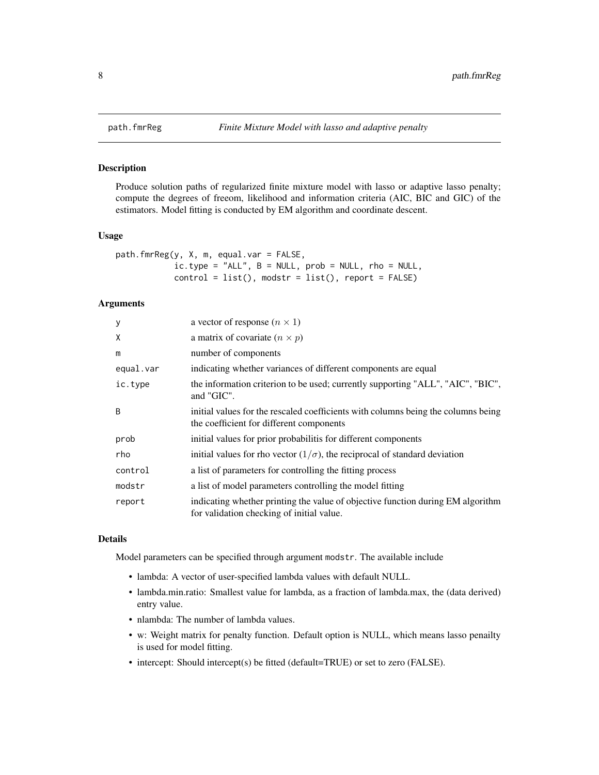<span id="page-7-0"></span>

Produce solution paths of regularized finite mixture model with lasso or adaptive lasso penalty; compute the degrees of freeom, likelihood and information criteria (AIC, BIC and GIC) of the estimators. Model fitting is conducted by EM algorithm and coordinate descent.

#### Usage

```
path.fmrReg(y, X, m, equal.var = FALSE,
            ic.\t{type} = "ALL", B = NULL, prob = NULL, rho = NULL,control = list(), modstr = list(), report = FALSE)
```
#### Arguments

| y            | a vector of response $(n \times 1)$                                                                                           |
|--------------|-------------------------------------------------------------------------------------------------------------------------------|
| X            | a matrix of covariate $(n \times p)$                                                                                          |
| m            | number of components                                                                                                          |
| equal.var    | indicating whether variances of different components are equal                                                                |
| ic.type      | the information criterion to be used; currently supporting "ALL", "AIC", "BIC",<br>and "GIC".                                 |
| <sub>B</sub> | initial values for the rescaled coefficients with columns being the columns being<br>the coefficient for different components |
| prob         | initial values for prior probabilitis for different components                                                                |
| rho          | initial values for rho vector $(1/\sigma)$ , the reciprocal of standard deviation                                             |
| control      | a list of parameters for controlling the fitting process                                                                      |
| modstr       | a list of model parameters controlling the model fitting                                                                      |
| report       | indicating whether printing the value of objective function during EM algorithm<br>for validation checking of initial value.  |

#### Details

Model parameters can be specified through argument modstr. The available include

- lambda: A vector of user-specified lambda values with default NULL.
- lambda.min.ratio: Smallest value for lambda, as a fraction of lambda.max, the (data derived) entry value.
- nlambda: The number of lambda values.
- w: Weight matrix for penalty function. Default option is NULL, which means lasso penailty is used for model fitting.
- intercept: Should intercept(s) be fitted (default=TRUE) or set to zero (FALSE).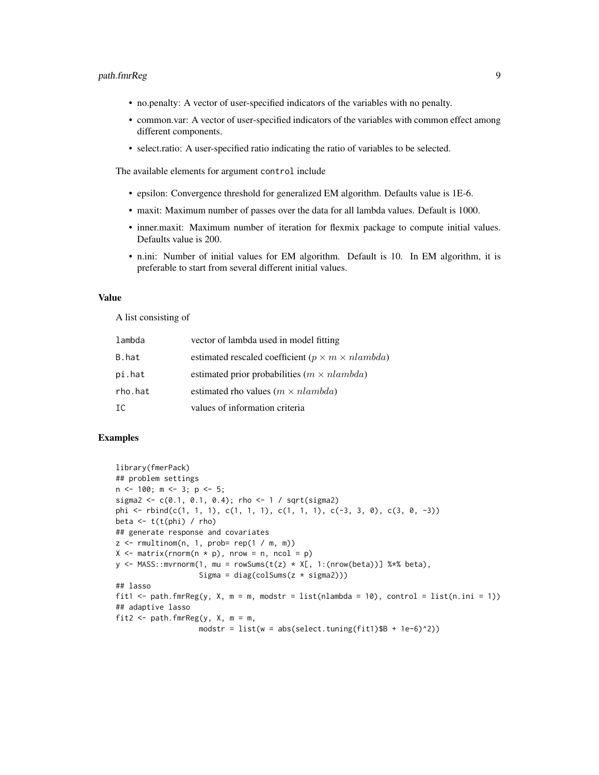#### path.fmrReg 9

- no.penalty: A vector of user-specified indicators of the variables with no penalty.
- common.var: A vector of user-specified indicators of the variables with common effect among different components.
- select.ratio: A user-specified ratio indicating the ratio of variables to be selected.

The available elements for argument control include

- epsilon: Convergence threshold for generalized EM algorithm. Defaults value is 1E-6.
- maxit: Maximum number of passes over the data for all lambda values. Default is 1000.
- inner.maxit: Maximum number of iteration for flexmix package to compute initial values. Defaults value is 200.
- n.ini: Number of initial values for EM algorithm. Default is 10. In EM algorithm, it is preferable to start from several different initial values.

#### Value

A list consisting of

| lambda  | vector of lambda used in model fitting                         |
|---------|----------------------------------------------------------------|
| B.hat   | estimated rescaled coefficient ( $p \times m \times n$ lambda) |
| pi.hat  | estimated prior probabilities $(m \times nlambda)$             |
| rho.hat | estimated rho values ( $m \times n$ lambda)                    |
| IC      | values of information criteria                                 |

#### Examples

```
library(fmerPack)
## problem settings
n \leq -100; m \leq -3; p \leq -5;
sigma2 <- c(0.1, 0.1, 0.4); rho <- 1 / sqrt(sigma2)
phi <- rbind(c(1, 1, 1), c(1, 1, 1), c(1, 1, 1), c(-3, 3, 0), c(3, 0, -3))
beta \leftarrow t(t(phi) / rho)
## generate response and covariates
z \le rmultinom(n, 1, prob= rep(1 / m, m))
X \leq - matrix(rnorm(n * p), nrow = n, ncol = p)
y <- MASS::mvrnorm(1, mu = rowSums(t(z) * X[, 1:(nrow(beta))] %*% beta),
                   Sigma = diag(colsums(z * sigma2)))## lasso
fit1 <- path.fmrReg(y, X, m = m, modstr = list(nlambda = 10), control = list(n.ini = 1))
## adaptive lasso
fit2 \leq path.fmrReg(y, X, m = m,
                   modstr = list(w = abs(self.tuning(fit1))$B + 1e-6)^2))
```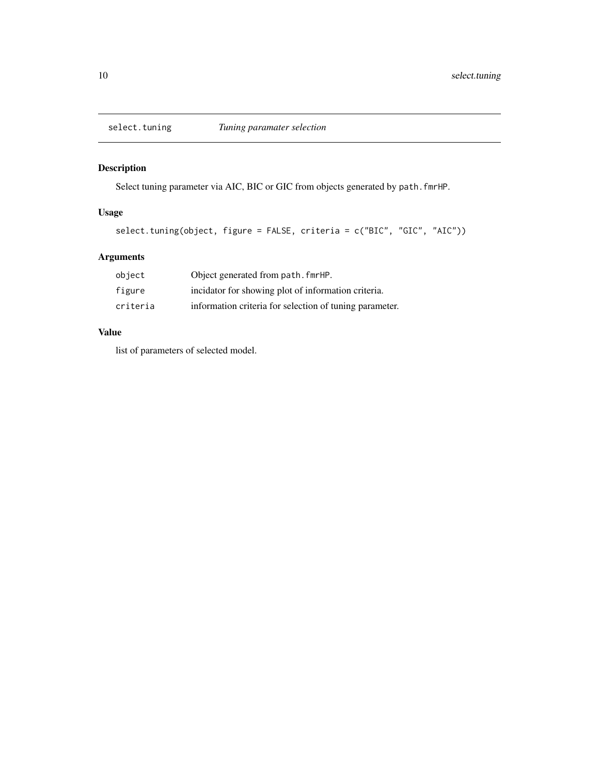<span id="page-9-0"></span>

Select tuning parameter via AIC, BIC or GIC from objects generated by path.fmrHP.

#### Usage

```
select.tuning(object, figure = FALSE, criteria = c("BIC", "GIC", "AIC"))
```
### Arguments

| object   | Object generated from path, fmrHP.                      |
|----------|---------------------------------------------------------|
| figure   | incidator for showing plot of information criteria.     |
| criteria | information criteria for selection of tuning parameter. |

#### Value

list of parameters of selected model.